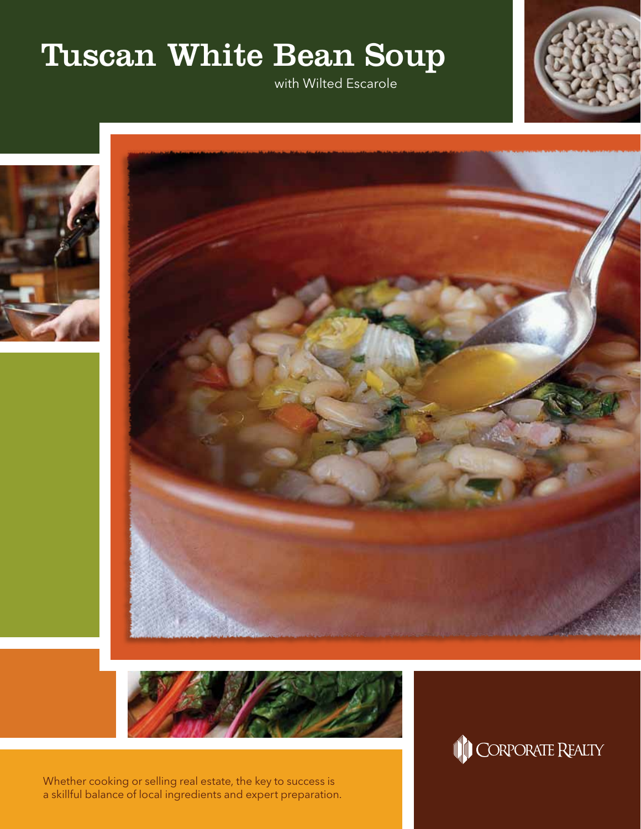## Tuscan White Bean Soup

with Wilted Escarole









Whether cooking or selling real estate, the key to success is a skillful balance of local ingredients and expert preparation.